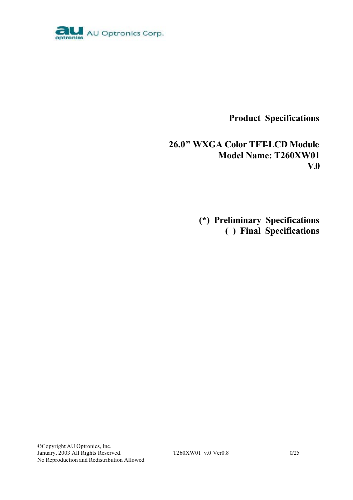

**Product Specifications**

**26.0" WXGA Color TFT-LCD Module Model Name: T260XW01 V.0**

> **(\*) Preliminary Specifications ( ) Final Specifications**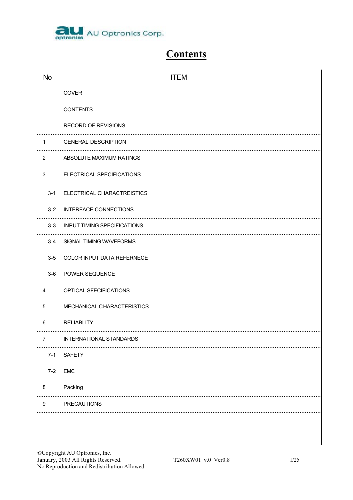

# **Contents**

| <b>No</b>        | <b>ITEM</b>                        |
|------------------|------------------------------------|
|                  | COVER                              |
|                  | <b>CONTENTS</b>                    |
|                  | RECORD OF REVISIONS                |
| $\mathbf{1}$     | <b>GENERAL DESCRIPTION</b>         |
| $\overline{2}$   | ABSOLUTE MAXIMUM RATINGS           |
| $\mathbf{3}$     | ELECTRICAL SPECIFICATIONS          |
| $3 - 1$          | ELECTRICAL CHARACTREISTICS         |
| $3 - 2$          | <b>INTERFACE CONNECTIONS</b>       |
| $3 - 3$          | <b>INPUT TIMING SPECIFICATIONS</b> |
| $3 - 4$          | SIGNAL TIMING WAVEFORMS            |
| $3-5$            | COLOR INPUT DATA REFERNECE         |
| $3-6$            | POWER SEQUENCE                     |
| 4                | OPTICAL SFECIFICATIONS             |
| $\overline{5}$   | MECHANICAL CHARACTERISTICS         |
| 6                | <b>RELIABLITY</b>                  |
| 7                | INTERNATIONAL STANDARDS            |
| $7 - 1$          | <b>SAFETY</b>                      |
| $7 - 2$          | <b>EMC</b>                         |
| 8                | Packing                            |
| $\boldsymbol{9}$ | <b>PRECAUTIONS</b>                 |
|                  |                                    |
|                  |                                    |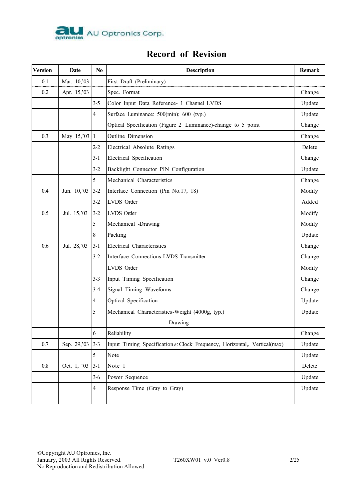

## **Record of Revision**

| <b>Version</b> | Date          | $\mathbf{N}\mathbf{0}$ | <b>Description</b>                                                       | Remark |
|----------------|---------------|------------------------|--------------------------------------------------------------------------|--------|
| 0.1            | Mar. 10,'03   |                        | First Draft (Preliminary)                                                |        |
| 0.2            | Apr. 15,'03   |                        | Spec. Format                                                             | Change |
|                |               | $3 - 5$                | Color Input Data Reference- 1 Channel LVDS                               | Update |
|                |               | 4                      | Surface Luminance: 500(min); 600 (typ.)                                  | Update |
|                |               |                        | Optical Specification (Figure 2 Luminance)-change to 5 point             | Change |
| 0.3            | May 15, '03 1 |                        | Outline Dimension                                                        | Change |
|                |               | $2 - 2$                | Electrical Absolute Ratings                                              | Delete |
|                |               | $3 - 1$                | Electrical Specification                                                 | Change |
|                |               | $3 - 2$                | Backlight Connector PIN Configuration                                    | Update |
|                |               | 5                      | Mechanical Characteristics                                               | Change |
| 0.4            | Jun. 10, 03   | $3 - 2$                | Interface Connection (Pin No.17, 18)                                     | Modify |
|                |               | $3 - 2$                | LVDS Order                                                               | Added  |
| 0.5            | Jul. 15,'03   | $3 - 2$                | LVDS Order                                                               | Modify |
|                |               | 5                      | Mechanical -Drawing                                                      | Modify |
|                |               | 8                      | Packing                                                                  | Update |
| 0.6            | Jul. 28,'03   | $3 - 1$                | Electrical Characteristics                                               | Change |
|                |               | $3 - 2$                | Interface Connections-LVDS Transmitter                                   | Change |
|                |               |                        | LVDS Order                                                               | Modify |
|                |               | $3 - 3$                | Input Timing Specification                                               | Change |
|                |               | $3-4$                  | Signal Timing Waveforms                                                  | Change |
|                |               | $\overline{4}$         | Optical Specification                                                    | Update |
|                |               | 5                      | Mechanical Characteristics-Weight (4000g, typ.)                          | Update |
|                |               |                        | Drawing                                                                  |        |
|                |               | 6                      | Reliability                                                              | Change |
| $0.7\,$        | Sep. 29,'03   | $3 - 3$                | Input Timing Specification & Clock Frequency, Horizontal,, Vertical(max) | Update |
|                |               | 5                      | Note                                                                     | Update |
| $0.8\,$        | Oct. 1, '03   | $3 - 1$                | Note 1                                                                   | Delete |
|                |               | $3-6$                  | Power Sequence                                                           | Update |
|                |               | $\overline{4}$         | Response Time (Gray to Gray)                                             | Update |
|                |               |                        |                                                                          |        |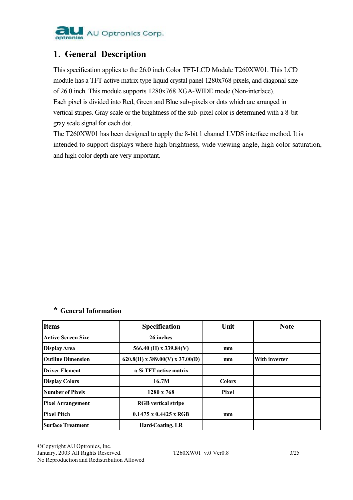

## **1. General Description**

This specification applies to the 26.0 inch Color TFT-LCD Module T260XW01. This LCD module has a TFT active matrix type liquid crystal panel 1280x768 pixels, and diagonal size of 26.0 inch. This module supports 1280x768 XGA-WIDE mode (Non-interlace). Each pixel is divided into Red, Green and Blue sub-pixels or dots which are arranged in vertical stripes. Gray scale or the brightness of the sub-pixel color is determined with a 8-bit gray scale signal for each dot.

The T260XW01 has been designed to apply the 8-bit 1 channel LVDS interface method. It is intended to support displays where high brightness, wide viewing angle, high color saturation, and high color depth are very important.

## **\* General Information**

| <b>Items</b>              | <b>Specification</b>              | Unit          | <b>Note</b>   |
|---------------------------|-----------------------------------|---------------|---------------|
| <b>Active Screen Size</b> | 26 inches                         |               |               |
| Display Area              | 566.40 (H) x 339.84(V)            | mm            |               |
| <b>Outline Dimension</b>  | $620.8(H)$ x 389.00(V) x 37.00(D) | mm            | With inverter |
| <b>Driver Element</b>     | a-Si TFT active matrix            |               |               |
| <b>Display Colors</b>     | 16.7M                             | <b>Colors</b> |               |
| Number of Pixels          | 1280 x 768                        | Pixel         |               |
| <b>Pixel Arrangement</b>  | <b>RGB</b> vertical stripe        |               |               |
| <b>Pixel Pitch</b>        | $0.1475 \times 0.4425 \times RGB$ | mm            |               |
| <b>Surface Treatment</b>  | <b>Hard-Coating, LR</b>           |               |               |

©Copyright AU Optronics, Inc. January, 2003 All Rights Reserved. T260XW01 v.0 Ver0.8 3/25 No Reproduction and Redistribution Allowed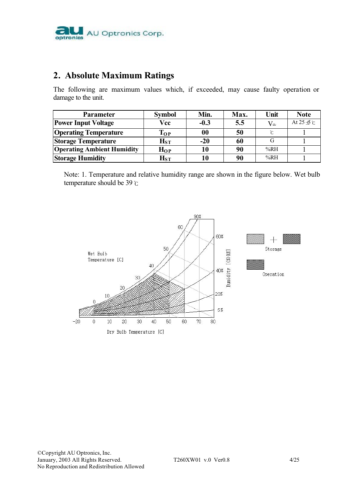

## **2. Absolute Maximum Ratings**

The following are maximum values which, if exceeded, may cause faulty operation or damage to the unit.

| <b>Parameter</b>                  | <b>Symbol</b> | Min.   | Max. | Unit         | <b>Note</b>             |
|-----------------------------------|---------------|--------|------|--------------|-------------------------|
| <b>Power Input Voltage</b>        | Vcc           | $-0.3$ | 5.5  | $V_{\rm dc}$ | At $25 \pm 6$ $\degree$ |
| <b>Operating Temperature</b>      | $\bf{T_{OP}}$ | 00     | 50   |              |                         |
| <b>Storage Temperature</b>        | $H_{ST}$      | $-20$  | 60   |              |                         |
| <b>Operating Ambient Humidity</b> | $H_{OP}$      | 10     | 90   | %RH          |                         |
| <b>Storage Humidity</b>           | $_{\rm HST}$  | 10     | 90   | %RH          |                         |

Note: 1. Temperature and relative humidity range are shown in the figure below. Wet bulb temperature should be 39℃

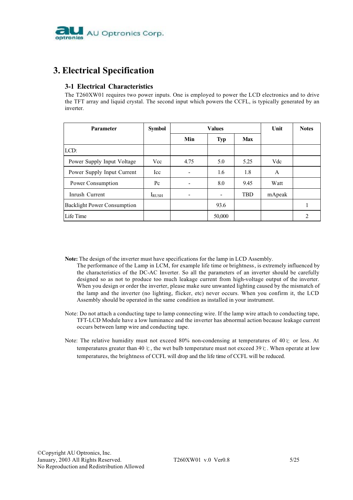

## **3. Electrical Specification**

## **3-1 Electrical Characteristics**

The T260XW01 requires two power inputs. One is employed to power the LCD electronics and to drive the TFT array and liquid crystal. The second input which powers the CCFL, is typically generated by an inverter.

| <b>Parameter</b>                   | <b>Symbol</b> |      | <b>Values</b> | Unit       | <b>Notes</b> |                                                                                                                                                                      |
|------------------------------------|---------------|------|---------------|------------|--------------|----------------------------------------------------------------------------------------------------------------------------------------------------------------------|
|                                    |               | Min  | <b>Typ</b>    | <b>Max</b> |              |                                                                                                                                                                      |
| LCD:                               |               |      |               |            |              |                                                                                                                                                                      |
| Power Supply Input Voltage         | <b>Vcc</b>    | 4.75 | 5.0           | 5.25       | Vdc          |                                                                                                                                                                      |
| Power Supply Input Current         | Icc           |      | 1.6           | 1.8        | A            |                                                                                                                                                                      |
| Power Consumption                  | $P_{\rm C}$   |      | 8.0           | 9.45       | Watt         |                                                                                                                                                                      |
| Inrush Current                     | $I_{RUSH}$    | -    |               | <b>TBD</b> | mApeak       |                                                                                                                                                                      |
| <b>Backlight Power Consumption</b> |               |      | 93.6          |            |              |                                                                                                                                                                      |
| Life Time                          |               |      | 50,000        |            |              | $\mathcal{D}_{\mathcal{L}}^{\mathcal{L}}(\mathcal{L}) = \mathcal{D}_{\mathcal{L}}^{\mathcal{L}}(\mathcal{L}) = \mathcal{D}_{\mathcal{L}}^{\mathcal{L}}(\mathcal{L})$ |

**Note:** The design of the inverter must have specifications for the lamp in LCD Assembly.

- The performance of the Lamp in LCM, for example life time or brightness, is extremely influenced by the characteristics of the DC-AC Inverter. So all the parameters of an inverter should be carefully designed so as not to produce too much leakage current from high-voltage output of the inverter. When you design or order the inverter, please make sure unwanted lighting caused by the mismatch of the lamp and the inverter (no lighting, flicker, etc) never occurs. When you confirm it, the LCD Assembly should be operated in the same condition as installed in your instrument.
- Note: Do not attach a conducting tape to lamp connecting wire. If the lamp wire attach to conducting tape, TFT-LCD Module have a low luminance and the inverter has abnormal action because leakage current occurs between lamp wire and conducting tape.
- Note: The relative humidity must not exceed 80% non-condensing at temperatures of 40℃ or less. At temperatures greater than 40 ℃, the wet bulb temperature must not exceed 39 ℃. When operate at low temperatures, the brightness of CCFL will drop and the life time of CCFL will be reduced.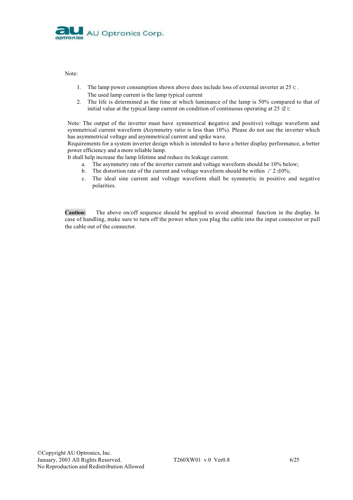

Note:

- 1. The lamp power consumption shown above does include loss of external inverter at 25℃. The used lamp current is the lamp typical current
- 2. The life is determined as the time at which luminance of the lamp is 50% compared to that of initial value at the typical lamp current on condition of continuous operating at 25 $\pm$ 2 ℃

Note: The output of the inverter must have symmetrical (negative and positive) voltage waveform and symmetrical current waveform (Asymmetry ratio is less than 10%). Please do not use the inverter which has asymmetrical voltage and asymmetrical current and spike wave.

Requirements for a system inverter design which is intended to have a better display performance, a better power efficiency and a more reliable lamp.

It shall help increase the lamp lifetime and reduce its leakage current.

- a. The asymmetry rate of the inverter current and voltage waveform should be 10% below;
- b. The distortion rate of the current and voltage waveform should be within  $\sqrt{2} \pm 0\%$ ;
- c. The ideal sine current and voltage waveform shall be symmetric in positive and negative polarities.

**Caution:** The above on/off sequence should be applied to avoid abnormal function in the display. In case of handling, make sure to turn off the power when you plug the cable into the input connector or pull the cable out of the connector.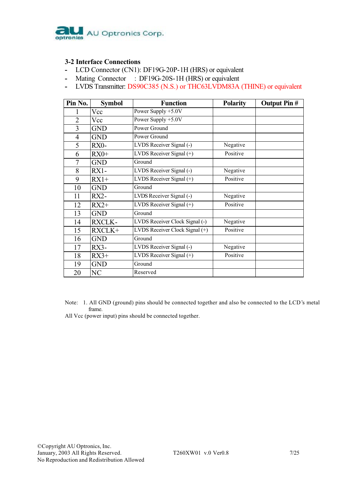

### **3-2 Interface Connections**

- **-** LCD Connector (CN1): DF19G-20P-1H (HRS) or equivalent
- **-** Mating Connector : DF19G-20S-1H (HRS) or equivalent
- **-** LVDS Transmitter: DS90C385 (N.S.) or THC63LVDM83A (THINE) or equivalent

| Pin No.        | <b>Symbol</b> | <b>Function</b>                | <b>Polarity</b> | <b>Output Pin #</b> |
|----------------|---------------|--------------------------------|-----------------|---------------------|
|                | Vcc           | Power Supply +5.0V             |                 |                     |
| $\overline{2}$ | Vcc           | Power Supply +5.0V             |                 |                     |
| 3              | GND           | Power Ground                   |                 |                     |
| 4              | <b>GND</b>    | Power Ground                   |                 |                     |
| 5              | $RX0-$        | LVDS Receiver Signal (-)       | Negative        |                     |
| 6              | $RX0+$        | LVDS Receiver Signal (+)       | Positive        |                     |
| 7              | <b>GND</b>    | Ground                         |                 |                     |
| 8              | $RX1 -$       | LVDS Receiver Signal (-)       | Negative        |                     |
| 9              | $RX1+$        | LVDS Receiver Signal (+)       | Positive        |                     |
| 10             | <b>GND</b>    | Ground                         |                 |                     |
| 11             | $RX2-$        | LVDS Receiver Signal (-)       | Negative        |                     |
| 12             | $RX2+$        | LVDS Receiver Signal (+)       | Positive        |                     |
| 13             | <b>GND</b>    | Ground                         |                 |                     |
| 14             | <b>RXCLK-</b> | LVDS Receiver Clock Signal (-) | Negative        |                     |
| 15             | RXCLK+        | LVDS Receiver Clock Signal (+) | Positive        |                     |
| 16             | <b>GND</b>    | Ground                         |                 |                     |
| 17             | $RX3-$        | LVDS Receiver Signal (-)       | Negative        |                     |
| 18             | $RX3+$        | LVDS Receiver Signal (+)       | Positive        |                     |
| 19             | <b>GND</b>    | Ground                         |                 |                     |
| 20             | NC            | Reserved                       |                 |                     |

Note: 1. All GND (ground) pins should be connected together and also be connected to the LCD's metal frame.

All Vcc (power input) pins should be connected together.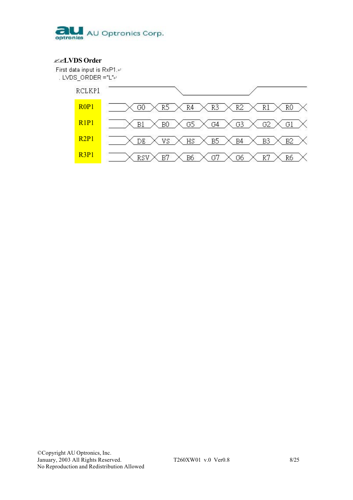

## $\mathbb{Z}$ **LVDS** Order

First data input is RxP1.41 . LVDS\_ORDER ="L" $\leftrightarrow$ 

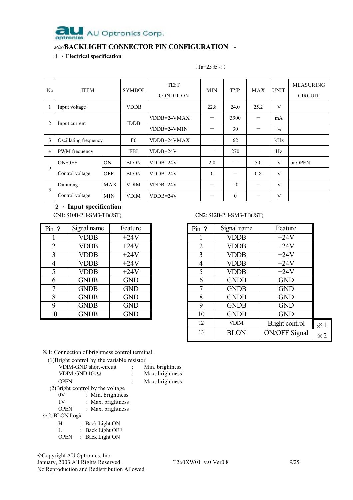

## ""**BACKLIGHT CONNECTOR PIN CONFIGURATION -**

## 1.**Electrical specification**

| No.            | <b>ITEM</b>           |                | <b>SYMBOL</b> | <b>TEST</b><br><b>CONDITION</b> | <b>TYP</b><br>MIN |                          | MAX                      | <b>UNIT</b>   | <b>MEASURING</b><br><b>CIRCUIT</b> |
|----------------|-----------------------|----------------|---------------|---------------------------------|-------------------|--------------------------|--------------------------|---------------|------------------------------------|
| 1              | Input voltage         |                | <b>VDDB</b>   |                                 | 22.8              | 24.0                     | 25.2                     | V             |                                    |
| $\overline{2}$ |                       |                | <b>IDDB</b>   | VDDB=24V,MAX                    |                   | 3900                     |                          | mA            |                                    |
|                | Input current         |                |               | VDDB=24V,MIN                    |                   | 30                       | $\overline{\phantom{0}}$ | $\frac{0}{0}$ |                                    |
| 3              | Oscillating frequency |                | F0            | VDDB=24V,MAX                    |                   | 62                       |                          | kHz           |                                    |
| $\overline{4}$ | PWM frequency         |                | <b>FBI</b>    | $VDDB=24V$                      |                   | 270                      | —                        | Hz            |                                    |
| 5              | ON/OFF                | 0 <sub>N</sub> | <b>BLON</b>   | $VDDB=24V$                      | 2.0               |                          | 5.0                      | V             | or OPEN                            |
|                | Control voltage       | <b>OFF</b>     | <b>BLON</b>   | $VDDB=24V$                      | $\overline{0}$    | $\overline{\phantom{0}}$ | 0.8                      | V             |                                    |
|                | Dimming               |                | <b>VDIM</b>   | $VDDB=24V$                      |                   | 1.0                      | $\hspace{0.05cm}$        | V             |                                    |
| 6              | Control voltage       | MIN            | <b>VDIM</b>   | $VDDB=24V$                      |                   | $\boldsymbol{0}$         |                          | V             |                                    |

 $(Ta=25\pm\text{°C})$ 

# 2.**Input specification**

| Pin ?          | Signal name | Feature    |
|----------------|-------------|------------|
|                | <b>VDDB</b> | $+24V$     |
| $\overline{2}$ | <b>VDDB</b> | $+24V$     |
| 3              | <b>VDDB</b> | $+24V$     |
| 4              | <b>VDDB</b> | $+24V$     |
| 5              | <b>VDDB</b> | $+24V$     |
| 6              | <b>GNDB</b> | <b>GND</b> |
| 7              | <b>GNDB</b> | <b>GND</b> |
| 8              | <b>GNDB</b> | <b>GND</b> |
| 9              | <b>GNDB</b> | <b>GND</b> |
| 10             | <b>GNDB</b> | <b>GND</b> |

### CN1: S10B-PH-SM3-TB(JST) CN2: S12B-PH-SM3-TB(JST)

| $Pin$ ?        | Signal name | Feature    | Pin ?          | Signal name | Feature              |                    |
|----------------|-------------|------------|----------------|-------------|----------------------|--------------------|
|                | <b>VDDB</b> | $+24V$     |                | <b>VDDB</b> | $+24V$               |                    |
| $\overline{2}$ | <b>VDDB</b> | $+24V$     | $\overline{2}$ | <b>VDDB</b> | $+24V$               |                    |
| 3              | <b>VDDB</b> | $+24V$     | 3              | <b>VDDB</b> | $+24V$               |                    |
| 4              | <b>VDDB</b> | $+24V$     | 4              | <b>VDDB</b> | $+24V$               |                    |
| 5              | <b>VDDB</b> | $+24V$     | 5              | <b>VDDB</b> | $+24V$               |                    |
| 6              | <b>GNDB</b> | <b>GND</b> | 6              | <b>GNDB</b> | <b>GND</b>           |                    |
| 7              | <b>GNDB</b> | <b>GND</b> | 7              | <b>GNDB</b> | <b>GND</b>           |                    |
| 8              | <b>GNDB</b> | <b>GND</b> | 8              | <b>GNDB</b> | <b>GND</b>           |                    |
| 9              | <b>GNDB</b> | <b>GND</b> | 9              | <b>GNDB</b> | <b>GND</b>           |                    |
| 10             | <b>GNDB</b> | <b>GND</b> | 10             | <b>GNDB</b> | <b>GND</b>           |                    |
|                |             |            | 12             | <b>VDIM</b> | Bright control       | $*1$               |
|                |             |            | 13             | <b>BLON</b> | <b>ON/OFF Signal</b> | $\divideontimes$ 2 |

※1: Connection of brightness control terminal

(1)Bright control by the variable resistor

|                | <b>VDIM-GND</b> short-circuit     | Min. brightness |
|----------------|-----------------------------------|-----------------|
|                | VDIM-GND $10k\Omega$              | Max. brightness |
| <b>OPEN</b>    |                                   | Max. brightness |
|                | (2) Bright control by the voltage |                 |
| 0V             | : Min. brightness                 |                 |
| 1V             | : Max. brightness                 |                 |
| OPEN           | : Max. brightness                 |                 |
| *2: BLON Logic |                                   |                 |
| H              | : Back Light ON                   |                 |
| L              | : Back Light OFF                  |                 |
| <b>OPEN</b>    | : Back Light ON                   |                 |

©Copyright AU Optronics, Inc. January, 2003 All Rights Reserved. T260XW01 v.0 Ver0.8 9/25 No Reproduction and Redistribution Allowed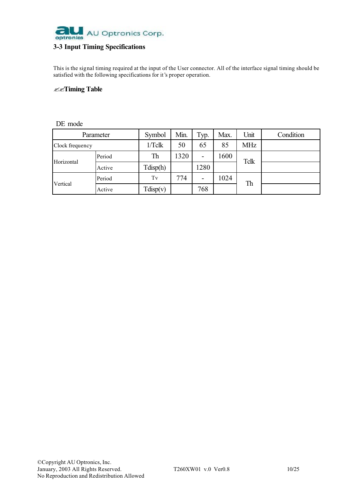

## **3-3 Input Timing Specifications**

This is the signal timing required at the input of the User connector. All of the interface signal timing should be satisfied with the following specifications for it's proper operation.

### ""**Timing Table**

## DE mode

|                 | Parameter | Symbol   | Min. | Typ. | Max.       | Unit | Condition |
|-----------------|-----------|----------|------|------|------------|------|-----------|
| Clock frequency | $1/T$ clk | 50       | 65   | 85   | <b>MHz</b> |      |           |
| Horizontal      | Period    | Th       | 1320 | -    | 1600       | Tclk |           |
|                 | Active    | Tdisp(h) |      | 1280 |            |      |           |
| Vertical        | Period    | Tv       | 774  | -    | 1024       | Th   |           |
|                 | Active    | Tdisp(v) |      | 768  |            |      |           |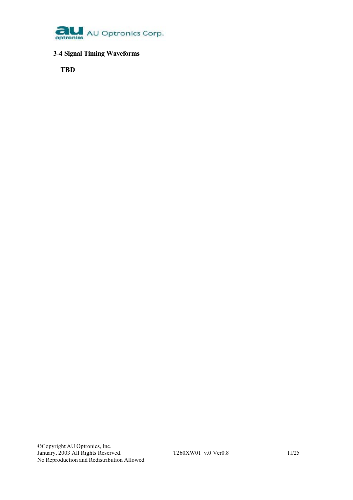

## **3-4 Signal Timing Waveforms**

**TBD**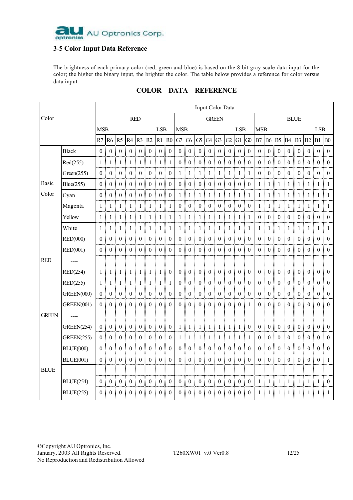

## **3-5 Color Input Data Reference**

The brightness of each primary color (red, green and blue) is based on the 8 bit gray scale data input for the color; the higher the binary input, the brighter the color. The table below provides a reference for color versus data input.

|              |                   |                  |                       |                  |                  |                   |                     |                     |                       |                |                       |                     |                       |                     |                     |                     |                                  |                |                  |                     |                       |                     |                   |                   | Input Color Data |  |  |  |  |  |  |  |  |  |  |  |  |  |
|--------------|-------------------|------------------|-----------------------|------------------|------------------|-------------------|---------------------|---------------------|-----------------------|----------------|-----------------------|---------------------|-----------------------|---------------------|---------------------|---------------------|----------------------------------|----------------|------------------|---------------------|-----------------------|---------------------|-------------------|-------------------|------------------|--|--|--|--|--|--|--|--|--|--|--|--|--|
| Color        |                   |                  |                       |                  |                  | <b>RED</b>        |                     |                     |                       |                |                       |                     |                       | <b>GREEN</b>        |                     |                     |                                  |                |                  |                     |                       | <b>BLUE</b>         |                   |                   |                  |  |  |  |  |  |  |  |  |  |  |  |  |  |
|              |                   | <b>MSB</b>       |                       |                  |                  |                   |                     | <b>LSB</b>          |                       | <b>MSB</b>     |                       |                     |                       |                     |                     | <b>LSB</b>          |                                  | <b>MSB</b>     |                  |                     |                       |                     |                   | <b>LSB</b>        |                  |  |  |  |  |  |  |  |  |  |  |  |  |  |
|              |                   |                  | R7 R6 R5              |                  |                  | R4 R3 R2          |                     | $R1$ $R0$           |                       |                | G7 G6                 |                     | $G5$ $G4$ $G3$        |                     | G2                  | $G1$ $G0$           |                                  | B7             |                  | <b>B6 B5</b>        |                       | $B4 \mid B3$        | B2                | <b>B1 B0</b>      |                  |  |  |  |  |  |  |  |  |  |  |  |  |  |
|              | <b>Black</b>      | 0 <sup>1</sup>   | $\mathbf{0}$          | ŧ<br>$\theta$    | $\theta$         | ÷<br>$\theta$     | $\mathbf{0}$<br>÷   | ÷                   | $0 \mid 0$            | $\theta$       | ÷<br>$\mathbf{0}$     | ŧ<br>$\mathbf{0}$   | ÷<br>$\mathbf{0}$     | ÷<br>$\theta$       | $\overline{0}$<br>÷ | ÷<br>$\overline{0}$ | $\begin{array}{c} 0 \end{array}$ | 0 <sup>1</sup> | $\mathbf{0}$     | ÷<br>$\mathbf{0}$   | ŧ<br>$\mathbf{0}$     | 0 <sup>1</sup><br>ŧ | $\overline{0}$    | ÷<br>$\theta$     | $\vdots$ 0       |  |  |  |  |  |  |  |  |  |  |  |  |  |
|              | Red(255)          | 1:               | 1                     | $\mathbf{1}$     | $\mathbf{1}$     | 1                 | 1                   | 1                   | $\mathbf{1}$          | $\overline{0}$ | $\boldsymbol{0}$      | 0:                  | $\boldsymbol{0}$      | $\overline{0}$      | $\boldsymbol{0}$    | ÷<br>$\overline{0}$ | $\pm 0$                          | 0 і            | $\boldsymbol{0}$ | $\mathbf{0}$        | $\boldsymbol{0}$      | 0 <sup>1</sup>      | $\boldsymbol{0}$  | $\overline{0}$    | $\overline{0}$   |  |  |  |  |  |  |  |  |  |  |  |  |  |
|              | Green(255)        | $\theta$         | $\boldsymbol{0}$      | $\boldsymbol{0}$ | $\boldsymbol{0}$ | $\bf{0}$          | $\boldsymbol{0}$    | $\boldsymbol{0}$    | ŧ<br>$\boldsymbol{0}$ | 1 <sup>1</sup> | $\mathbf{1}$          | $\mathbf{1}$        | $\mathbf{1}$          | $\mathbf{1}$        | $\mathbf{1}$        | -1                  | -1                               | 0:             | $\boldsymbol{0}$ | $\boldsymbol{0}$    | $\boldsymbol{0}$<br>ŧ | 0 <sup>1</sup><br>ŧ | $\boldsymbol{0}$  | $\theta$          | $\theta$         |  |  |  |  |  |  |  |  |  |  |  |  |  |
| Basic        | Blue(255)         | $\theta$         | $\boldsymbol{0}$      | $\theta$         | $\mathbf{0}$     | $\theta$          | $\boldsymbol{0}$    | $\mathbf{0}$        | ŧ<br>$\theta$         | $\theta$       | $\boldsymbol{0}$      | $\overline{0}$      | $\overline{0}$<br>÷   | $\overline{0}$      | $\boldsymbol{0}$    | $\overline{0}$      | $\mathbf{0}$<br>÷                | 1:             | -1               | -1                  | ŧ<br>-1               | 1                   | -1<br>÷           | $\overline{1}$    | $\mathbf{1}$     |  |  |  |  |  |  |  |  |  |  |  |  |  |
| Color        | Cyan              | 0 <sup>1</sup>   | $\theta$              | $\theta$         | $\theta$         | $\theta$          | $\theta$            | $\theta$            | $\theta$<br>ŧ         | 1 <sup>1</sup> | -1                    | -1                  | ÷.<br>-1              | -1<br>÷             | -1<br>÷             | ÷.<br>$1 \mid 1$    |                                  | 1 <sup>1</sup> | -1               | -1                  | ŧ<br>$\mathbf{1}$     | ŧ                   | $1 \mid 1$        | ÷<br>-1           | $\overline{1}$   |  |  |  |  |  |  |  |  |  |  |  |  |  |
|              | Magenta           | 1:               | 1                     | 1                | 1                | 1                 | 1                   | 1                   | ŧ<br>-1               | 0 <sup>1</sup> | $\boldsymbol{0}$      | 0:                  | $\boldsymbol{0}$      | $\overline{0}$<br>÷ | ÷                   | $0 \mid 0 \mid 0$   |                                  | 1 :            | 1                | 1                   | $\mathbf{1}$          | $\mathbf{1}$        | ÷<br>$\mathbf{1}$ | 1                 | -1               |  |  |  |  |  |  |  |  |  |  |  |  |  |
|              | Yellow            | 1 <sup>1</sup>   | $\mathbf{1}$          | -1               | $\mathbf{1}$     | -1                | $\mathbf{1}$        | -1                  | -1                    | $\frac{1}{2}$  | $\mathbf{1}$          | $\mathbf{1}$        | $\mathbf{1}$<br>÷     | -1                  | $\mathbf{1}$        | $\mathbf{1}$        | $\pm 1$                          | 0:             | $\boldsymbol{0}$ | $\bf{0}$            | $\boldsymbol{0}$      | 0:                  | $\boldsymbol{0}$  | $\bf{0}$          | $\theta$         |  |  |  |  |  |  |  |  |  |  |  |  |  |
|              | White             | $1\,$ i          | $\mathbf{1}$          | $\mathbf{1}$     | $\mathbf{1}$     | $\mathbf{1}$<br>÷ | $\mathbf{1}$<br>÷   | $\overline{1}$<br>÷ | ŧ<br>1                | $1\frac{1}{2}$ | $\mathbf{1}$          | $\mathbf{1}$<br>ŧ   | $\mathbf{1}$<br>÷     | $\frac{1}{2}$<br>÷  | $\mathbf{1}$        | $\,$ 1 $\,$<br>÷    | $\pm 1$                          | $1$ i          | -1               | $\mathbf{1}$<br>÷   | $\pm 1$               | $1\,$<br>ŧ          | $\mathbf{1}$      | $\mathbf{1}$<br>÷ | -1               |  |  |  |  |  |  |  |  |  |  |  |  |  |
|              | <b>RED(000)</b>   | 0 <sup>1</sup>   | $\mathbf{0}$          | $\mathbf{0}$     | $\mathbf{0}$     | $\mathbf{0}$      | $\mathbf{0}$        | $\mathbf{0}$        | $\theta$<br>ŧ         | $\overline{0}$ | $\mathbf{0}$<br>÷     | $\mathbf{0}$        | $\boldsymbol{0}$<br>÷ | $\mathbf{0}$        | $\mathbf{0}$        | ÷<br>$\overline{0}$ | $\mathbf{0}$                     | 0:             | $\boldsymbol{0}$ | ÷<br>$\mathbf{0}$   | $\boldsymbol{0}$      | 0 <sup>1</sup>      | $\mathbf{0}$      | ÷<br>$\theta$     | $\theta$         |  |  |  |  |  |  |  |  |  |  |  |  |  |
|              | <b>RED(001)</b>   | 0:               | $\theta$              | $\theta$         | $\theta$         | $\theta$          | $\theta$            | $\theta$<br>÷       | ÷<br>$\theta$         | 0:             | $\mathbf{0}$          | $\theta$<br>÷       | ÷<br>$\overline{0}$   | $\theta$<br>÷       | $\mathbf{0}$        | ÷<br>$\theta$       | ÷<br>$\theta$                    | 0:             | $\overline{0}$   | $\theta$<br>÷       | $\mathbf{0}$<br>÷     | $0$ :<br>÷          | $\bf{0}$          | ÷<br>$\theta$     | ÷<br>$\theta$    |  |  |  |  |  |  |  |  |  |  |  |  |  |
| <b>RED</b>   | ----              |                  |                       |                  |                  |                   |                     |                     |                       |                |                       |                     |                       |                     |                     |                     |                                  |                |                  |                     |                       |                     |                   |                   |                  |  |  |  |  |  |  |  |  |  |  |  |  |  |
|              | RED(254)          | 1                | $\mathbf{1}$          | -1               | $\mathbf{1}$     | $\mathbf{1}$      | $\mathbf{1}$        | $\mathbf{1}$        | $\mathbf{0}$          | 0 <sup>1</sup> | $\boldsymbol{0}$      | $\overline{0}$      | $\boldsymbol{0}$      | $\boldsymbol{0}$    | $\boldsymbol{0}$    | $\boldsymbol{0}$    | ÷<br>$\overline{0}$              | 0 <sup>1</sup> | $\mathbf{0}$     | $\mathbf{0}$        | $\boldsymbol{0}$<br>ŧ | 0 <sup>1</sup><br>ŧ | $\boldsymbol{0}$  | $\overline{0}$    | $\theta$         |  |  |  |  |  |  |  |  |  |  |  |  |  |
|              | RED(255)          | $1\,$            | $\mathbf{1}$          | $\mathbf{1}$     | $\mathbf{1}$     | $\mathbf{1}$      | $\mathbf{1}$<br>ŧ   | $\mathbf{1}$        | 1                     | $\overline{0}$ | $\mathbf{0}$          | $\boldsymbol{0}$    | $\boldsymbol{0}$      | $\boldsymbol{0}$    | $\boldsymbol{0}$    | $\mathbf{0}$        | $\theta$                         | $\overline{0}$ | $\mathbf{0}$     | $\mathbf{0}$        | $\mathbf{0}$          | $\boldsymbol{0}$    | $\boldsymbol{0}$  | $\boldsymbol{0}$  | $\theta$         |  |  |  |  |  |  |  |  |  |  |  |  |  |
|              | <b>GREEN(000)</b> | 0 <sup>1</sup>   | $\theta$              | $\theta$         | $\mathbf{0}$     | $\theta$          | $\mathbf{0}$        | $\mathbf{0}$        | ŧ<br>$\theta$         | $\Omega$       | $\mathbf{0}$<br>÷     | $\mathbf{0}$        | $\boldsymbol{0}$<br>ŧ | $\mathbf{0}$        | $\mathbf{0}$        | $\mathbf{0}$        | $\theta$<br>÷                    | 0 <sup>1</sup> | $\mathbf{0}$     | $\mathbf{0}$        | $\boldsymbol{0}$<br>ŧ | 0 <sup>1</sup>      | $\mathbf{0}$      | $\theta$          | ÷<br>$\Omega$    |  |  |  |  |  |  |  |  |  |  |  |  |  |
|              | <b>GREEN(001)</b> | 0 <sup>1</sup>   | $\mathbf{0}$          | $\theta$         | $\mathbf{0}$     | $\theta$<br>÷     | $\overline{0}$<br>ł | $\overline{0}$<br>÷ | ÷<br>$\overline{0}$   | $\overline{0}$ | $\overline{0}$<br>÷   | ŧ<br>$\overline{0}$ | ÷<br>$\overline{0}$   | $\overline{0}$<br>÷ | $\overline{0}$      | ÷<br>$\overline{0}$ | $\pm 1$                          | 0:             | $\overline{0}$   | $\mathbf{0}$<br>÷   | $\mathbf{0}$<br>÷     | 0:<br>ŧ             | $\overline{0}$    | $\mathbf{0}$      | $\overline{0}$   |  |  |  |  |  |  |  |  |  |  |  |  |  |
| <b>GREEN</b> | $\frac{1}{2}$     |                  |                       |                  |                  |                   |                     |                     |                       |                |                       |                     |                       |                     |                     |                     |                                  |                |                  |                     |                       |                     |                   |                   |                  |  |  |  |  |  |  |  |  |  |  |  |  |  |
|              | <b>GREEN(254)</b> | $\overline{0}$   | $\mathbf{0}$          | $\mathbf{0}$     | $\mathbf{0}$     | $\mathbf{0}$      | $\mathbf{0}$        | $\mathbf{0}$        | ŧ<br>$\overline{0}$   | $1\,$          | $\mathbf{1}$          | -1                  | $\mathbf{1}$          | -1                  | $\mathbf{1}$        | -1                  | $\overline{0}$<br>ŧ              | 0 <sup>1</sup> | $\overline{0}$   | $\mathbf{0}$        | $\boldsymbol{0}$<br>÷ | ŧ<br>0 <sup>1</sup> | $\mathbf{0}$      | $\mathbf{0}$<br>÷ | $\theta$         |  |  |  |  |  |  |  |  |  |  |  |  |  |
|              | <b>GREEN(255)</b> | $\boldsymbol{0}$ | $\boldsymbol{0}$<br>÷ | $\boldsymbol{0}$ | $\boldsymbol{0}$ | $\mathbf{0}$      | $\boldsymbol{0}$    | $\boldsymbol{0}$    | $\boldsymbol{0}$      | 1              | ÷<br>$\mathbf{1}$     | $\mathbf{1}$        | $\mathbf{1}$          | $\mathbf{1}$        | 1                   | $\mathbf{1}$        | 1<br>ŧ                           | $\overline{0}$ | $\boldsymbol{0}$ | $\theta$            | $\boldsymbol{0}$      | $\boldsymbol{0}$    | $\boldsymbol{0}$  | $\boldsymbol{0}$  | $\overline{0}$   |  |  |  |  |  |  |  |  |  |  |  |  |  |
|              | <b>BLUE(000)</b>  | 0 <sup>1</sup>   | $\overline{0}$        | $\theta$         | $\boldsymbol{0}$ | $\theta$          | $\boldsymbol{0}$    | $\mathbf{0}$        | ŧ<br>$\overline{0}$   | $\theta$       | $\boldsymbol{0}$<br>÷ | $\theta$            | $\boldsymbol{0}$<br>ŧ | $\theta$            | $\boldsymbol{0}$    | ÷<br>$\theta$       | $\theta$<br>÷                    | 0 <sup>1</sup> | $\boldsymbol{0}$ | $\overline{0}$      | $\boldsymbol{0}$<br>÷ | 0 <sup>1</sup>      | $\boldsymbol{0}$  | $\theta$          | $\Omega$         |  |  |  |  |  |  |  |  |  |  |  |  |  |
|              | <b>BLUE(001)</b>  | 0 <sup>1</sup>   | $\overline{0}$        | $\theta$         | $\overline{0}$   | $\theta$          | $\overline{0}$      | $\overline{0}$      | $\theta$<br>÷         | 0 <sup>1</sup> | $\mathbf{0}$          | 0 <sup>1</sup>      | $\overline{0}$        | $\overline{0}$<br>÷ | $\overline{0}$      | $\overline{0}$<br>÷ | $\mathbf{0}$<br>÷                | 0 i            | $\bf{0}$         | $\overline{0}$<br>÷ | $\overline{0}$<br>÷   | 0 <sup>1</sup><br>÷ | $\overline{0}$    | $\overline{0}$    | ŧ<br>-1          |  |  |  |  |  |  |  |  |  |  |  |  |  |
| <b>BLUE</b>  |                   |                  |                       |                  |                  |                   |                     |                     |                       |                |                       |                     |                       |                     |                     |                     |                                  |                |                  |                     |                       |                     |                   |                   |                  |  |  |  |  |  |  |  |  |  |  |  |  |  |
|              | <b>BLUE(254)</b>  | $\overline{0}$   | $\mathbf{0}$          | $\Omega$         | $\mathbf{0}$     | $\Omega$          | $\mathbf{0}$        | $\mathbf{0}$        | ŧ<br>$\Omega$         | $\overline{0}$ | $\mathbf{0}$<br>÷     | $\overline{0}$      | $\bf{0}$<br>ŧ         | $\mathbf{0}$        | $\boldsymbol{0}$    | $\overline{0}$<br>÷ | $\mathbf{0}$<br>ŧ                | $\mathbf{1}$   | $\mathbf{1}$     | -1                  | $\mathbf{1}$          | 1                   | $\mathbf{1}$      | 1                 | $\overline{0}$   |  |  |  |  |  |  |  |  |  |  |  |  |  |
|              | <b>BLUE(255)</b>  | $\Omega$         | $\theta$              | $\theta$         | $\theta$         | $\Omega$          | $\theta$            | $\theta$            | $\theta$              | $\theta$       | $\theta$              | 0                   | $\Omega$              | $\Omega$            | $\theta$            | 0                   | $\mathbf{0}$                     | 1              |                  | 1                   | 1                     | 1                   | 1                 | 1                 | 1                |  |  |  |  |  |  |  |  |  |  |  |  |  |

## **COLOR DATA REFERENCE**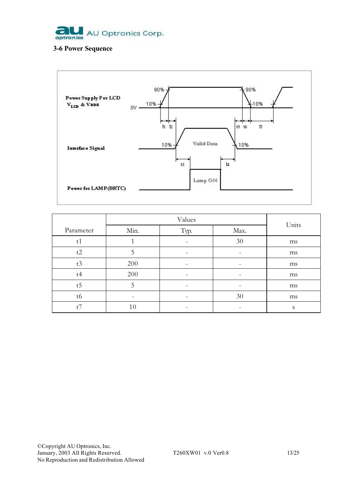

## **3-6 Power Sequence**



|                 | Values |      |      | Units |
|-----------------|--------|------|------|-------|
| Parameter       | Min.   | Typ. | Max. |       |
| t1              |        |      | 30   | ms    |
| t2              | 5      | -    | -    | ms    |
| t3              | 200    |      |      | ms    |
| t4              | 200    |      |      | ms    |
| $t\overline{5}$ | 5      |      |      | ms    |
| t6              | -      |      | 30   | ms    |
| t7              | 10     |      |      | S     |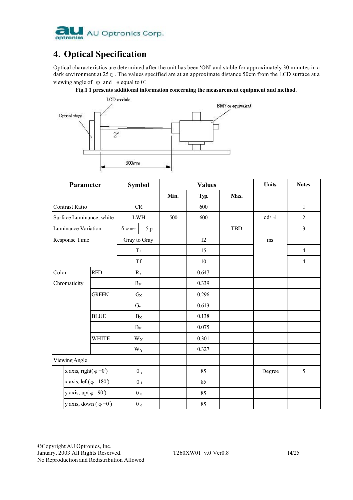

# **4. Optical Specification**

Optical characteristics are determined after the unit has been 'ON' and stable for approximately 30 minutes in a dark environment at 25℃. The values specified are at an approximate distance 50cm from the LCD surface at a viewing angle of  $\Phi$  and  $\theta$  equal to 0°.





| Parameter                              |              | <b>Symbol</b>           |                         | <b>Values</b> |       | <b>Units</b> | <b>Notes</b> |                |
|----------------------------------------|--------------|-------------------------|-------------------------|---------------|-------|--------------|--------------|----------------|
|                                        |              |                         |                         | Min.          | Typ.  | Max.         |              |                |
| Contrast Ratio                         |              | CR                      |                         |               | 600   |              |              | $\mathbf{1}$   |
| Surface Luminance, white               |              | <b>LWH</b>              |                         | 500           | 600   |              | $cd/m^2$     | $\overline{2}$ |
| Luminance Variation                    |              | $\delta$ white          | 5p                      |               |       | <b>TBD</b>   |              | $\overline{3}$ |
| Response Time                          |              | Gray to Gray            |                         |               | 12    |              | ms           |                |
|                                        |              | <b>Tr</b>               |                         |               | 15    |              |              | $\overline{4}$ |
|                                        |              | <b>Tf</b>               |                         |               | 10    |              |              | $\overline{4}$ |
| Color                                  | <b>RED</b>   | $R_{\rm X}$             |                         |               | 0.647 |              |              |                |
| Chromaticity                           |              | $R_Y$                   |                         |               | 0.339 |              |              |                |
|                                        | <b>GREEN</b> | $G\!X$                  |                         |               | 0.296 |              |              |                |
|                                        |              | $\mathrm{G}_{\!Y}$      |                         |               | 0.613 |              |              |                |
|                                        | <b>BLUE</b>  | $B_X$                   |                         |               | 0.138 |              |              |                |
|                                        |              | $B_Y$                   |                         |               | 0.075 |              |              |                |
|                                        | <b>WHITE</b> | $\mathbf{W}_\mathbf{X}$ |                         |               | 0.301 |              |              |                |
|                                        |              | $W_Y$                   |                         |               | 0.327 |              |              |                |
| Viewing Angle                          |              |                         |                         |               |       |              |              |                |
| x axis, right( $\varphi = 0$ )         |              |                         | $\theta$ r              |               | 85    |              | Degree       | 5              |
| x axis, left $(\varphi = 180^{\circ})$ |              |                         | $\theta_1$              |               | 85    |              |              |                |
| y axis, up( $\varphi = 90$ )           |              |                         | $\boldsymbol{\theta}$ u |               | 85    |              |              |                |
| y axis, down $(\varphi = 0)$           |              |                         | $\theta$ $_{\rm d}$     |               | 85    |              |              |                |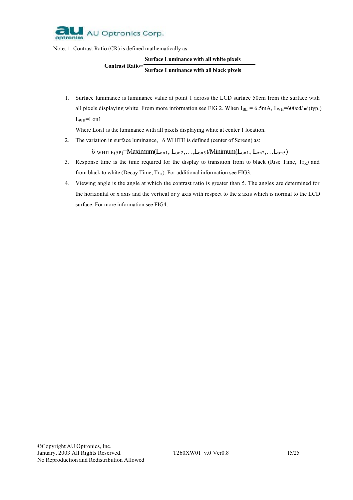

Note: 1. Contrast Ratio (CR) is defined mathematically as:

#### **Surface Luminance with all white pixels**

#### **Contrast Ratio= Surface Luminance with all black pixels**

1. Surface luminance is luminance value at point 1 across the LCD surface 50cm from the surface with all pixels displaying white. From more information see FIG 2. When  $I_{BL} = 6.5 \text{mA}$ ,  $L_{WH} = 600 \text{cd/m}^2$  (typ.)  $L_{WH}$ =Lon1

Where Lon1 is the luminance with all pixels displaying white at center 1 location.

2. The variation in surface luminance,  $\delta$  WHITE is defined (center of Screen) as:

 $\delta$  wHITE(5P)=Maximum( $L_{on1}$ ,  $L_{on2}$ ,..., $L_{on5}$ )/Minimum( $L_{on1}$ ,  $L_{on2}$ ,... $L_{on5}$ )

- 3. Response time is the time required for the display to transition from to black (Rise Time,  $Tr_R$ ) and from black to white (Decay Time,  $Tr_D$ ). For additional information see FIG3.
- 4. Viewing angle is the angle at which the contrast ratio is greater than 5. The angles are determined for the horizontal or x axis and the vertical or y axis with respect to the z axis which is normal to the LCD surface. For more information see FIG4.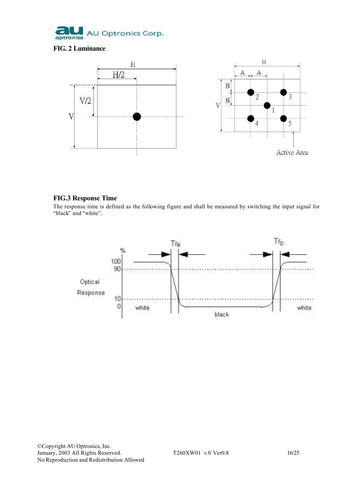

## **FIG. 2 Luminance**



## **FIG.3 Response Time**

The response time is defined as the following figure and shall be measured by switching the input signal for "black" and "white".

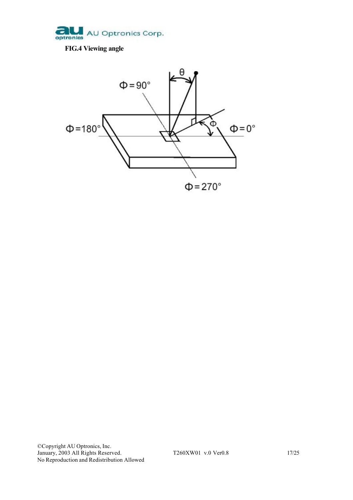

## **FIG.4 Viewing angle**

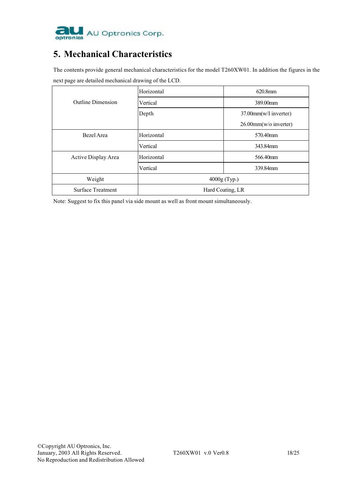

## **5. Mechanical Characteristics**

The contents provide general mechanical characteristics for the model T260XW01. In addition the figures in the next page are detailed mechanical drawing of the LCD.

|                          | Horizontal       | $620.8$ mm               |  |
|--------------------------|------------------|--------------------------|--|
| <b>Outline Dimension</b> | Vertical         | 389.00mm                 |  |
|                          | Depth            | 37.00mm(w/I inverter)    |  |
|                          |                  | $26.00$ mm(w/o inverter) |  |
| Bezel Area               | Horizontal       | 570.40mm                 |  |
|                          | Vertical         | 343.84mm                 |  |
| Active Display Area      | Horizontal       | 566.40mm                 |  |
|                          | Vertical         | 339.84mm                 |  |
| Weight                   | $4000g$ (Typ.)   |                          |  |
| Surface Treatment        | Hard Coating, LR |                          |  |

Note: Suggest to fix this panel via side mount as well as front mount simultaneously.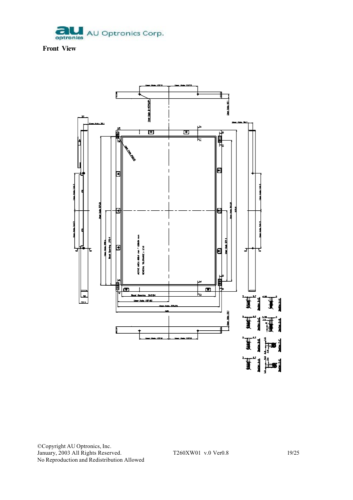

**Front View**

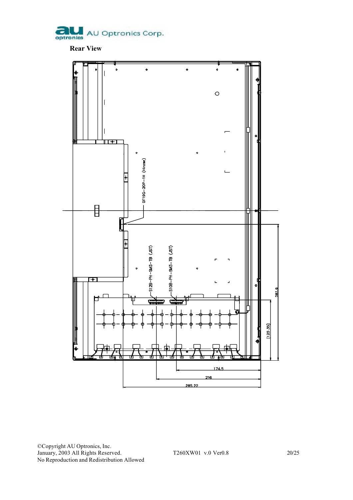

**Rear View**

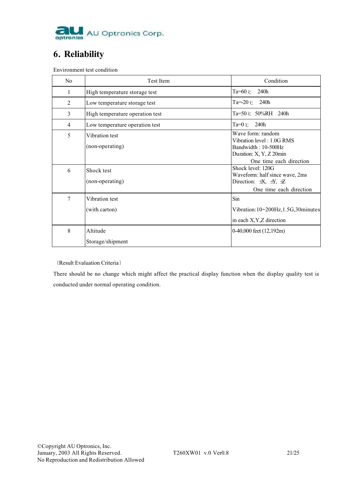

## **6. Reliability**

Environment test condition

| N <sub>0</sub> | <b>Test Item</b>                  | Condition                                                                                                                                           |
|----------------|-----------------------------------|-----------------------------------------------------------------------------------------------------------------------------------------------------|
| $\mathbf{1}$   | High temperature storage test     | Ta=60 $\degree$ C<br>240h                                                                                                                           |
| 2              | Low temperature storage test      | $Ta=20$ $\degree$<br>240h                                                                                                                           |
| 3              | High temperature operation test   | Ta=50 ℃ 50%RH 240h                                                                                                                                  |
| 4              | Low temperature operation test    | 240h<br>Ta=0 $\degree$ c                                                                                                                            |
| 5              | Vibration test<br>(non-operating) | Wave form: random<br>Vibration level: 1.0G RMS<br>Bandwidth: 10-500Hz<br>Duration: X, Y, Z 20min                                                    |
| 6              | Shock test<br>(non-operating)     | One time each direction<br>Shock level: 120G<br>Waveform: half since wave, 2ms<br>Direction: $\pm X$ , $\pm Y$ , $\pm Z$<br>One time each direction |
| 7              | Vibration test<br>(with carton)   | Sin<br>Vibration:10~200Hz,1.5G,30minutes<br>in each X, Y, Z direction                                                                               |
| 8              | Altitude<br>Storage/shipment      | 0-40,000 feet (12,192m)                                                                                                                             |

{Result Evaluation Criteria}

There should be no change which might affect the practical display function when the display quality test is conducted under normal operating condition.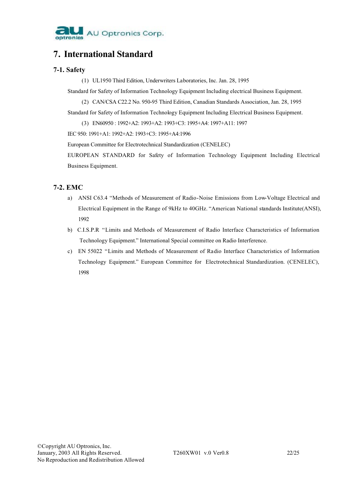

## **7. International Standard**

## **7-1. Safety**

(1) UL1950 Third Edition, Underwriters Laboratories, Inc. Jan. 28, 1995

Standard for Safety of Information Technology Equipment Including electrical Business Equipment.

(2) CAN/CSA C22.2 No. 950-95 Third Edition, Canadian Standards Association, Jan. 28, 1995

Standard for Safety of Information Technology Equipment Including Electrical Business Equipment.

(3) EN60950 : 1992+A2: 1993+A2: 1993+C3: 1995+A4: 1997+A11: 1997

IEC 950: 1991+A1: 1992+A2: 1993+C3: 1995+A4:1996

European Committee for Electrotechnical Standardization (CENELEC)

EUROPEAN STANDARD for Safety of Information Technology Equipment Including Electrical Business Equipment.

## **7-2. EMC**

- a) ANSI C63.4 "Methods of Measurement of Radio-Noise Emissions from Low-Voltage Electrical and Electrical Equipment in the Range of 9kHz to 40GHz. "American National standards Institute(ANSI), 1992
- b) C.I.S.P.R "Limits and Methods of Measurement of Radio Interface Characteristics of Information Technology Equipment." International Special committee on Radio Interference.
- c) EN 55022 "Limits and Methods of Measurement of Radio Interface Characteristics of Information Technology Equipment." European Committee for Electrotechnical Standardization. (CENELEC), 1998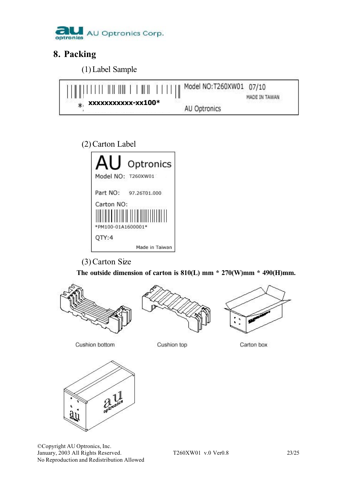

## **8. Packing**

(1) Label Sample



## (2) Carton Label



(3) Carton Size

 **The outside dimension of carton is 810(L) mm \* 270(W)mm \* 490(H)mm.**







Cushion bottom

Cushion top

Carton box



©Copyright AU Optronics, Inc. January, 2003 All Rights Reserved. T260XW01 v.0 Ver0.8 23/25 No Reproduction and Redistribution Allowed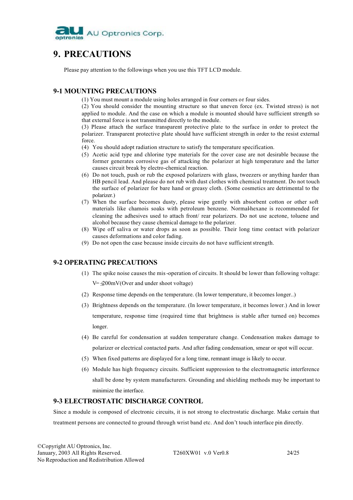

## **9. PRECAUTIONS**

Please pay attention to the followings when you use this TFT LCD module.

## **9-1 MOUNTING PRECAUTIONS**

(1) You must mount a module using holes arranged in four corners or four sides.

(2) You should consider the mounting structure so that uneven force (ex. Twisted stress) is not applied to module. And the case on which a module is mounted should have sufficient strength so that external force is not transmitted directly to the module.

(3) Please attach the surface transparent protective plate to the surface in order to protect the polarizer. Transparent protective plate should have sufficient strength in order to the resist external force.

- (4) You should adopt radiation structure to satisfy the temperature specification.
- (5) Acetic acid type and chlorine type materials for the cover case are not desirable because the former generates corrosive gas of attacking the polarizer at high temperature and the latter causes circuit break by electro-chemical reaction.
- (6) Do not touch, push or rub the exposed polarizers with glass, tweezers or anything harder than HB pencil lead. And please do not rub with dust clothes with chemical treatment. Do not touch the surface of polarizer for bare hand or greasy cloth. (Some cosmetics are detrimental to the polarizer.)
- (7) When the surface becomes dusty, please wipe gently with absorbent cotton or other soft materials like chamois soaks with petroleum benzene. Normal-hexane is recommended for cleaning the adhesives used to attach front/ rear polarizers. Do not use acetone, toluene and alcohol because they cause chemical damage to the polarizer.
- (8) Wipe off saliva or water drops as soon as possible. Their long time contact with polarizer causes deformations and color fading.
- (9) Do not open the case because inside circuits do not have sufficient strength.

### **9-2 OPERATING PRECAUTIONS**

- (1) The spike noise causes the mis -operation of circuits. It should be lower than following voltage:  $V=\pm 200$ mV(Over and under shoot voltage)
- (2) Response time depends on the temperature. (In lower temperature, it becomes longer..)
- (3) Brightness depends on the temperature. (In lower temperature, it becomes lower.) And in lower temperature, response time (required time that brightness is stable after turned on) becomes longer.
- (4) Be careful for condensation at sudden temperature change. Condensation makes damage to polarizer or electrical contacted parts. And after fading condensation, smear or spot will occur.
- (5) When fixed patterns are displayed for a long time, remnant image is likely to occur.
- (6) Module has high frequency circuits. Sufficient suppression to the electromagnetic interference shall be done by system manufacturers. Grounding and shielding methods may be important to minimize the interface.

## **9-3 ELECTROSTATIC DISCHARGE CONTROL**

Since a module is composed of electronic circuits, it is not strong to electrostatic discharge. Make certain that treatment persons are connected to ground through wrist band etc. And don't touch interface pin directly.